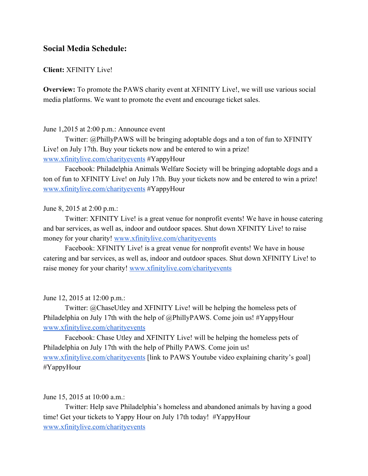# **Social Media Schedule:**

## **Client:**XFINITY Live!

**Overview:** To promote the PAWS charity event at XFINITY Live!, we will use various social media platforms. We want to promote the event and encourage ticket sales.

### June 1,2015 at 2:00 p.m.: Announce event

Twitter: @PhillyPAWS will be bringing adoptable dogs and a ton of fun to XFINITY Live! on July 17th. Buy your tickets now and be entered to win a prize! [www.xfinitylive.com/charityevents](http://www.xfinitylive.com/charityevents) #YappyHour

Facebook: Philadelphia Animals Welfare Society will be bringing adoptable dogs and a ton of fun to XFINITY Live! on July 17th. Buy your tickets now and be entered to win a prize! [www.xfinitylive.com/charityevents](http://www.xfinitylive.com/charityevents) #YappyHour

June 8, 2015 at 2:00 p.m.:

Twitter: XFINITY Live! is a great venue for nonprofit events! We have in house catering and bar services, as well as, indoor and outdoor spaces. Shut down XFINITY Live! to raise money for your charity! [www.xfinitylive.com/charityevents](http://www.xfinitylive.com/charityevents)

Facebook: XFINITY Live! is a great venue for nonprofit events! We have in house catering and bar services, as well as, indoor and outdoor spaces. Shut down XFINITY Live! to raise money for your charity! [www.xfinitylive.com/charityevents](http://www.xfinitylive.com/charityevents)

June 12, 2015 at 12:00 p.m.:

Twitter: @ChaseUtley and XFINITY Live! will be helping the homeless pets of Philadelphia on July 17th with the help of @PhillyPAWS. Come join us! #YappyHour [www.xfinitylive.com/charityevents](http://www.xfinitylive.com/charityevents)

Facebook: Chase Utley and XFINITY Live! will be helping the homeless pets of Philadelphia on July 17th with the help of Philly PAWS. Come join us! [www.xfinitylive.com/charityevents](http://www.xfinitylive.com/charityevents) [link to PAWS Youtube video explaining charity's goal] #YappyHour

June 15, 2015 at 10:00 a.m.:

Twitter: Help save Philadelphia's homeless and abandoned animals by having a good time! Get your tickets to Yappy Hour on July 17th today! #YappyHour [www.xfinitylive.com/charityevents](http://www.xfinitylive.com/charityevents)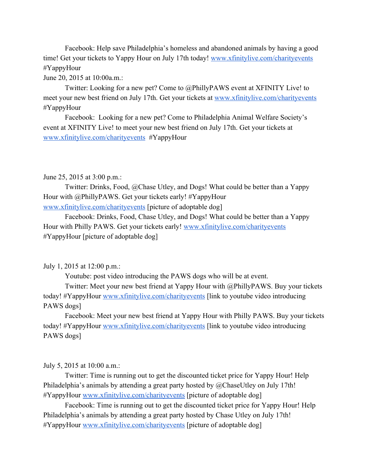Facebook: Help save Philadelphia's homeless and abandoned animals by having a good time! Get your tickets to Yappy Hour on July 17th today! [www.xfinitylive.com/charityevents](http://www.xfinitylive.com/charityevents) #YappyHour

June 20, 2015 at 10:00a.m.:

Twitter: Looking for a new pet? Come to @PhillyPAWS event at XFINITY Live! to meet your new best friend on July 17th. Get your tickets at [www.xfinitylive.com/charityevents](http://www.xfinitylive.com/charityevents) #YappyHour

Facebook: Looking for a new pet? Come to Philadelphia Animal Welfare Society's event at XFINITY Live! to meet your new best friend on July 17th. Get your tickets at [www.xfinitylive.com/charityevents](http://www.xfinitylive.com/charityevents) #YappyHour

June 25, 2015 at 3:00 p.m.:

Twitter: Drinks, Food, @Chase Utley, and Dogs! What could be better than a Yappy Hour with @PhillyPAWS. Get your tickets early! #YappyHour [www.xfinitylive.com/charityevents](http://www.xfinitylive.com/charityevents) [picture of adoptable dog]

Facebook: Drinks, Food, Chase Utley, and Dogs! What could be better than a Yappy

Hour with Philly PAWS. Get your tickets early! [www.xfinitylive.com/charityevents](http://www.xfinitylive.com/charityevents) #YappyHour [picture of adoptable dog]

July 1, 2015 at 12:00 p.m.:

Youtube: post video introducing the PAWS dogs who will be at event.

Twitter: Meet your new best friend at Yappy Hour with @PhillyPAWS. Buy your tickets today! #YappyHour [www.xfinitylive.com/charityevents](http://www.xfinitylive.com/charityevents) [link to youtube video introducing PAWS dogs]

Facebook: Meet your new best friend at Yappy Hour with Philly PAWS. Buy your tickets today! #YappyHour [www.xfinitylive.com/charityevents](http://www.xfinitylive.com/charityevents) [link to youtube video introducing PAWS dogs]

July 5, 2015 at 10:00 a.m.:

Twitter: Time is running out to get the discounted ticket price for Yappy Hour! Help Philadelphia's animals by attending a great party hosted by @ChaseUtley on July 17th! #YappyHour [www.xfinitylive.com/charityevents](http://www.xfinitylive.com/charityevents) [picture of adoptable dog]

Facebook: Time is running out to get the discounted ticket price for Yappy Hour! Help Philadelphia's animals by attending a great party hosted by Chase Utley on July 17th! #YappyHour [www.xfinitylive.com/charityevents](http://www.xfinitylive.com/charityevents) [picture of adoptable dog]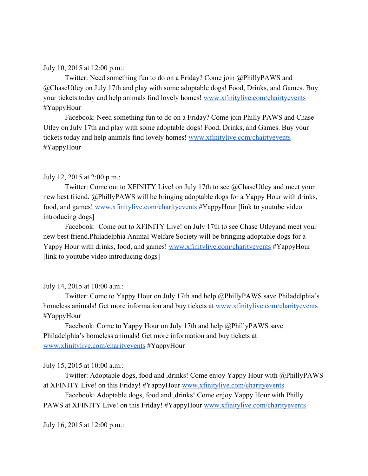July 10, 2015 at 12:00 p.m.:

Twitter: Need something fun to do on a Friday? Come join @PhillyPAWS and @ChaseUtley on July 17th and play with some adoptable dogs! Food, Drinks, and Games. Buy your tickets today and help animals find lovely homes! [www.xfinitylive.com/chairtyevents](http://www.xfinitylive.com/chairtyevents) #YappyHour

Facebook: Need something fun to do on a Friday? Come join Philly PAWS and Chase Utley on July 17th and play with some adoptable dogs! Food, Drinks, and Games. Buy your tickets today and help animals find lovely homes! [www.xfinitylive.com/chairtyevents](http://www.xfinitylive.com/chairtyevents) #YappyHour

### July 12, 2015 at 2:00 p.m.:

Twitter: Come out to XFINITY Live! on July 17th to see @ChaseUtley and meet your new best friend. @PhillyPAWS will be bringing adoptable dogs for a Yappy Hour with drinks, food, and games! [www.xfinitylive.com/charityevents](http://www.xfinitylive.com/charityevents) #YappyHour [link to youtube video introducing dogs]

Facebook: Come out to XFINITY Live! on July 17th to see Chase Utleyand meet your new best friend.Philadelphia Animal Welfare Society will be bringing adoptable dogs for a Yappy Hour with drinks, food, and games! [www.xfinitylive.com/charityevents](http://www.xfinitylive.com/charityevents) #YappyHour [link to youtube video introducing dogs]

#### July 14, 2015 at 10:00 a.m.:

Twitter: Come to Yappy Hour on July 17th and help @PhillyPAWS save Philadelphia's homeless animals! Get more information and buy tickets at [www.xfinitylive.com/charityevents](http://www.xfinitylive.com/charityevents) #YappyHour

Facebook: Come to Yappy Hour on July 17th and help @PhillyPAWS save Philadelphia's homeless animals! Get more information and buy tickets at [www.xfinitylive.com/charityevents](http://www.xfinitylive.com/charityevents) #YappyHour

July 15, 2015 at 10:00 a.m.:

Twitter: Adoptable dogs, food and ,drinks! Come enjoy Yappy Hour with @PhillyPAWS at XFINITY Live! on this Friday! #YappyHour [www.xfinitylive.com/charityevents](http://www.xfinitylive.com/charityevents)

Facebook: Adoptable dogs, food and ,drinks! Come enjoy Yappy Hour with Philly PAWS at XFINITY Live! on this Friday! #YappyHour [www.xfinitylive.com/charityevents](http://www.xfinitylive.com/charityevents)

July 16, 2015 at 12:00 p.m.: